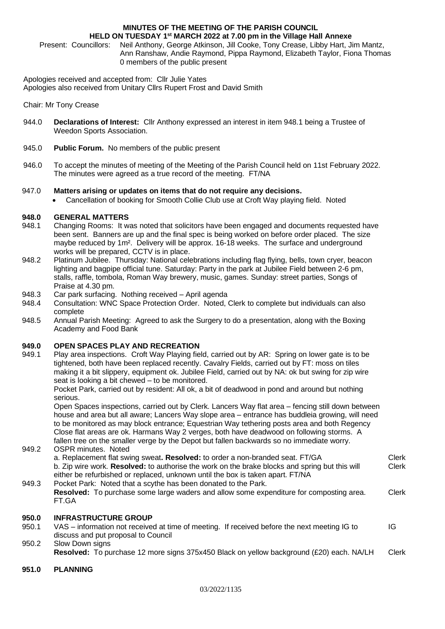#### **MINUTES OF THE MEETING OF THE PARISH COUNCIL HELD ON TUESDAY 1 st MARCH 2022 at 7.00 pm in the Village Hall Annexe**

Present: Councillors: Neil Anthony, George Atkinson, Jill Cooke, Tony Crease, Libby Hart, Jim Mantz, Ann Ranshaw, Andie Raymond, Pippa Raymond, Elizabeth Taylor, Fiona Thomas 0 members of the public present

Apologies received and accepted from: Cllr Julie Yates Apologies also received from Unitary Cllrs Rupert Frost and David Smith

Chair: Mr Tony Crease

- 944.0 **Declarations of Interest:** Cllr Anthony expressed an interest in item 948.1 being a Trustee of Weedon Sports Association.
- 945.0 **Public Forum.** No members of the public present
- 946.0 To accept the minutes of meeting of the Meeting of the Parish Council held on 11st February 2022. The minutes were agreed as a true record of the meeting. FT/NA

### 947.0 **Matters arising or updates on items that do not require any decisions.**

• Cancellation of booking for Smooth Collie Club use at Croft Way playing field. Noted

### **948.0 GENERAL MATTERS**

- 948.1 Changing Rooms: It was noted that solicitors have been engaged and documents requested have been sent. Banners are up and the final spec is being worked on before order placed. The size maybe reduced by 1m². Delivery will be approx. 16-18 weeks. The surface and underground works will be prepared. CCTV is in place.
- 948.2 Platinum Jubilee. Thursday: National celebrations including flag flying, bells, town cryer, beacon lighting and bagpipe official tune. Saturday: Party in the park at Jubilee Field between 2-6 pm. stalls, raffle, tombola, Roman Way brewery, music, games. Sunday: street parties, Songs of Praise at 4.30 pm.
- 948.3 Car park surfacing. Nothing received April agenda
- 948.4 Consultation: WNC Space Protection Order. Noted, Clerk to complete but individuals can also complete
- 948.5 Annual Parish Meeting: Agreed to ask the Surgery to do a presentation, along with the Boxing Academy and Food Bank

## **949.0 OPEN SPACES PLAY AND RECREATION**

949.1 Play area inspections. Croft Way Playing field, carried out by AR: Spring on lower gate is to be tightened, both have been replaced recently. Cavalry Fields, carried out by FT: moss on tiles making it a bit slippery, equipment ok. Jubilee Field, carried out by NA: ok but swing for zip wire seat is looking a bit chewed – to be monitored.

Pocket Park, carried out by resident: All ok, a bit of deadwood in pond and around but nothing serious.

Open Spaces inspections, carried out by Clerk. Lancers Way flat area – fencing still down between house and area but all aware; Lancers Way slope area – entrance has buddleia growing, will need to be monitored as may block entrance: Equestrian Way tethering posts area and both Regency Close flat areas are ok. Harmans Way 2 verges, both have deadwood on following storms. A fallen tree on the smaller verge by the Depot but fallen backwards so no immediate worry.

#### 949.2 OSPR minutes. Noted

| 949.3 | a. Replacement flat swing sweat. Resolved: to order a non-branded seat. FT/GA<br>b. Zip wire work. Resolved: to authorise the work on the brake blocks and spring but this will<br>either be refurbished or replaced, unknown until the box is taken apart. FT/NA<br>Pocket Park: Noted that a scythe has been donated to the Park. | <b>Clerk</b><br>Clerk |
|-------|-------------------------------------------------------------------------------------------------------------------------------------------------------------------------------------------------------------------------------------------------------------------------------------------------------------------------------------|-----------------------|
|       | <b>Resolved:</b> To purchase some large waders and allow some expenditure for composting area.<br>FT.GA                                                                                                                                                                                                                             | Clerk                 |
| 950.0 | <b>INFRASTRUCTURE GROUP</b>                                                                                                                                                                                                                                                                                                         |                       |
| 950.1 | VAS – information not received at time of meeting. If received before the next meeting IG to<br>discuss and put proposal to Council                                                                                                                                                                                                 | IG                    |
| 950.2 | Slow Down signs                                                                                                                                                                                                                                                                                                                     |                       |

**Resolved:** To purchase 12 more signs 375x450 Black on yellow background (£20) each. NA/LH Clerk

**951.0 PLANNING**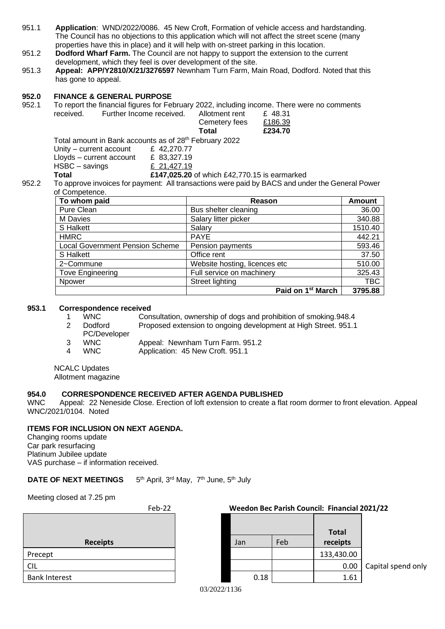- 951.1 **Application**: WND/2022/0086. 45 New Croft, Formation of vehicle access and hardstanding. The Council has no objections to this application which will not affect the street scene (many properties have this in place) and it will help with on-street parking in this location.
- 951.2 **Dodford Wharf Farm.** The Council are not happy to support the extension to the current development, which they feel is over development of the site.
- 951.3 **Appeal: APP/Y2810/X/21/3276597** Newnham Turn Farm, Main Road, Dodford. Noted that this has gone to appeal.

#### **952.0 FINANCE & GENERAL PURPOSE**

952.1 To report the financial figures for February 2022, including income. There were no comments received. Further Income received. Allotment rent £ 48.31

| Total          | £234.70 |
|----------------|---------|
| Cemetery fees  | £186.39 |
| Allotment rent | £ 48.31 |

Total amount in Bank accounts as of 28<sup>th</sup> February 2022

| Total                    | £147,025.20 |
|--------------------------|-------------|
| HSBC – savings           | £ 21.427.19 |
| Lloyds – current account | £ 83,327.19 |
| Unity - current account  | £42,270.77  |

**0** of which £42,770.15 is earmarked 952.2 To approve invoices for payment: All transactions were paid by BACS and under the General Power of Competence.

| To whom paid                           | Reason                        | <b>Amount</b> |
|----------------------------------------|-------------------------------|---------------|
| Pure Clean                             | Bus shelter cleaning          | 36.00         |
| M Davies                               | Salary litter picker          | 340.88        |
| S Halkett                              | Salary                        | 1510.40       |
| <b>HMRC</b>                            | <b>PAYE</b>                   | 442.21        |
| <b>Local Government Pension Scheme</b> | Pension payments              | 593.46        |
| S Halkett                              | Office rent                   | 37.50         |
| 2~Commune                              | Website hosting, licences etc | 510.00        |
| <b>Tove Engineering</b>                | Full service on machinery     | 325.43        |
| Npower                                 | Street lighting               | <b>TBC</b>    |
|                                        | Paid on 1 <sup>st</sup> March | 3795.88       |

#### **953.1 Correspondence received**

1 WNC Consultation, ownership of dogs and prohibition of smoking.948.4

- 2 Dodford Proposed extension to ongoing development at High Street. 951.1
- PC/Developer
- 3 WNC Appeal: Newnham Turn Farm. 951.2
- 4 WNC Application: 45 New Croft. 951.1

NCALC Updates

Allotment magazine

# **954.0 CORRESPONDENCE RECEIVED AFTER AGENDA PUBLISHED**

WNC Appeal: 22 Neneside Close. Erection of loft extension to create a flat room dormer to front elevation. Appeal WNC/2021/0104. Noted

# **ITEMS FOR INCLUSION ON NEXT AGENDA.**

Changing rooms update Car park resurfacing Platinum Jubilee update VAS purchase – if information received.

#### **DATE OF NEXT MEETINGS** 5<sup>th</sup> April, 3<sup>rd</sup> May, 7<sup>th</sup> June, 5<sup>th</sup> July

Meeting closed at 7.25 pm

| Feb-22               |  | Weedon Bec Parish Council: Financial 2021/22 |     |                          |         |
|----------------------|--|----------------------------------------------|-----|--------------------------|---------|
| <b>Receipts</b>      |  | Jan                                          | Feb | <b>Total</b><br>receipts |         |
| Precept              |  |                                              |     | 133,430.00               |         |
| <b>CIL</b>           |  |                                              |     | 0.00                     | Capital |
| <b>Bank Interest</b> |  | 0.18                                         |     | 1.61                     |         |

**Total**  Jan Feb **receipts** 0.00 | Capital spend only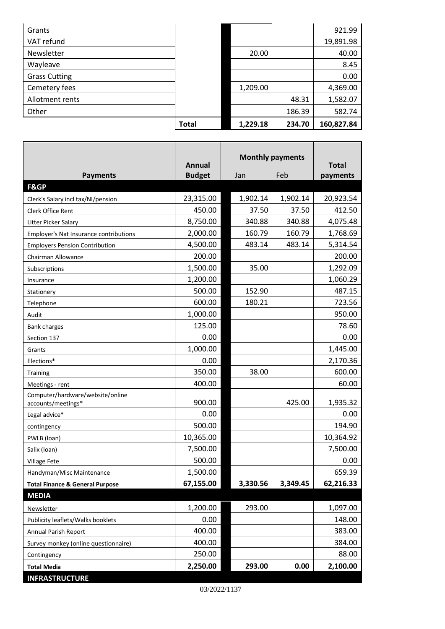|                      | <b>Total</b> | 1,229.18 | 234.70 | 160,827.84 |
|----------------------|--------------|----------|--------|------------|
|                      |              |          |        |            |
| Other                |              |          | 186.39 | 582.74     |
| Allotment rents      |              |          | 48.31  | 1,582.07   |
| Cemetery fees        |              | 1,209.00 |        | 4,369.00   |
| <b>Grass Cutting</b> |              |          |        | 0.00       |
| Wayleave             |              |          |        | 8.45       |
| Newsletter           |              | 20.00    |        | 40.00      |
| VAT refund           |              |          |        | 19,891.98  |
| Grants               |              |          |        | 921.99     |

г

|                                                        | Annual        | <b>Monthly payments</b> |          | <b>Total</b> |
|--------------------------------------------------------|---------------|-------------------------|----------|--------------|
| <b>Payments</b>                                        | <b>Budget</b> | Jan                     | Feb      | payments     |
| <b>F&amp;GP</b>                                        |               |                         |          |              |
| Clerk's Salary incl tax/NI/pension                     | 23,315.00     | 1,902.14                | 1,902.14 | 20,923.54    |
| Clerk Office Rent                                      | 450.00        | 37.50                   | 37.50    | 412.50       |
| Litter Picker Salary                                   | 8,750.00      | 340.88                  | 340.88   | 4,075.48     |
| Employer's Nat Insurance contributions                 | 2,000.00      | 160.79                  | 160.79   | 1,768.69     |
| <b>Employers Pension Contribution</b>                  | 4,500.00      | 483.14                  | 483.14   | 5,314.54     |
| Chairman Allowance                                     | 200.00        |                         |          | 200.00       |
| Subscriptions                                          | 1,500.00      | 35.00                   |          | 1,292.09     |
| Insurance                                              | 1,200.00      |                         |          | 1,060.29     |
| Stationery                                             | 500.00        | 152.90                  |          | 487.15       |
| Telephone                                              | 600.00        | 180.21                  |          | 723.56       |
| Audit                                                  | 1,000.00      |                         |          | 950.00       |
| <b>Bank charges</b>                                    | 125.00        |                         |          | 78.60        |
| Section 137                                            | 0.00          |                         |          | 0.00         |
| Grants                                                 | 1,000.00      |                         |          | 1,445.00     |
| Elections*                                             | 0.00          |                         |          | 2,170.36     |
| Training                                               | 350.00        | 38.00                   |          | 600.00       |
| Meetings - rent                                        | 400.00        |                         |          | 60.00        |
| Computer/hardware/website/online<br>accounts/meetings* | 900.00        |                         | 425.00   | 1,935.32     |
| Legal advice*                                          | 0.00          |                         |          | 0.00         |
| contingency                                            | 500.00        |                         |          | 194.90       |
| PWLB (loan)                                            | 10,365.00     |                         |          | 10,364.92    |
| Salix (loan)                                           | 7,500.00      |                         |          | 7,500.00     |
| Village Fete                                           | 500.00        |                         |          | 0.00         |
| Handyman/Misc Maintenance                              | 1,500.00      |                         |          | 659.39       |
| <b>Total Finance &amp; General Purpose</b>             | 67,155.00     | 3,330.56                | 3,349.45 | 62,216.33    |
| <b>MEDIA</b>                                           |               |                         |          |              |
| Newsletter                                             | 1,200.00      | 293.00                  |          | 1,097.00     |
| Publicity leaflets/Walks booklets                      | 0.00          |                         |          | 148.00       |
| Annual Parish Report                                   | 400.00        |                         |          | 383.00       |
| Survey monkey (online questionnaire)                   | 400.00        |                         |          | 384.00       |
| Contingency                                            | 250.00        |                         |          | 88.00        |
| <b>Total Media</b>                                     | 2,250.00      | 293.00                  | 0.00     | 2,100.00     |
| <b>INFRASTRUCTURE</b>                                  |               |                         |          |              |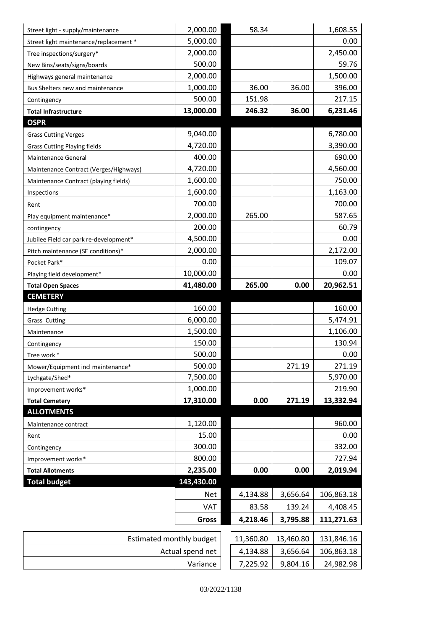| Street light - supply/maintenance      | 2,000.00                     | 58.34                |                      | 1,608.55                |
|----------------------------------------|------------------------------|----------------------|----------------------|-------------------------|
| Street light maintenance/replacement * | 5,000.00                     |                      |                      | 0.00                    |
| Tree inspections/surgery*              | 2,000.00                     |                      |                      | 2,450.00                |
| New Bins/seats/signs/boards            | 500.00                       |                      |                      | 59.76                   |
| Highways general maintenance           | 2,000.00                     |                      |                      | 1,500.00                |
| Bus Shelters new and maintenance       | 1,000.00                     | 36.00                | 36.00                | 396.00                  |
| Contingency                            | 500.00                       | 151.98               |                      | 217.15                  |
| <b>Total Infrastructure</b>            | 13,000.00                    | 246.32               | 36.00                | 6,231.46                |
| <b>OSPR</b>                            |                              |                      |                      |                         |
| <b>Grass Cutting Verges</b>            | 9,040.00                     |                      |                      | 6,780.00                |
| <b>Grass Cutting Playing fields</b>    | 4,720.00                     |                      |                      | 3,390.00                |
| Maintenance General                    | 400.00                       |                      |                      | 690.00                  |
| Maintenance Contract (Verges/Highways) | 4,720.00                     |                      |                      | 4,560.00                |
| Maintenance Contract (playing fields)  | 1,600.00                     |                      |                      | 750.00                  |
| Inspections                            | 1,600.00                     |                      |                      | 1,163.00                |
| Rent                                   | 700.00                       |                      |                      | 700.00                  |
| Play equipment maintenance*            | 2,000.00                     | 265.00               |                      | 587.65                  |
| contingency                            | 200.00                       |                      |                      | 60.79                   |
| Jubilee Field car park re-development* | 4,500.00                     |                      |                      | 0.00                    |
| Pitch maintenance (SE conditions)*     | 2,000.00                     |                      |                      | 2,172.00                |
| Pocket Park*                           | 0.00                         |                      |                      | 109.07                  |
| Playing field development*             | 10,000.00                    |                      |                      | 0.00                    |
| <b>Total Open Spaces</b>               | 41,480.00                    | 265.00               | 0.00                 | 20,962.51               |
| <b>CEMETERY</b>                        |                              |                      |                      |                         |
|                                        |                              |                      |                      |                         |
| <b>Hedge Cutting</b>                   | 160.00                       |                      |                      | 160.00                  |
| <b>Grass Cutting</b>                   | 6,000.00                     |                      |                      | 5,474.91                |
| Maintenance                            | 1,500.00                     |                      |                      | 1,106.00                |
| Contingency                            | 150.00                       |                      |                      | 130.94                  |
| Tree work *                            | 500.00                       |                      |                      | 0.00                    |
| Mower/Equipment incl maintenance*      | 500.00                       |                      | 271.19               | 271.19                  |
| Lychgate/Shed*                         | 7,500.00                     |                      |                      | 5,970.00                |
| Improvement works*                     | 1,000.00                     |                      |                      | 219.90                  |
| <b>Total Cemetery</b>                  | 17,310.00                    | 0.00                 | 271.19               | 13,332.94               |
| <b>ALLOTMENTS</b>                      |                              |                      |                      |                         |
| Maintenance contract                   | 1,120.00                     |                      |                      | 960.00                  |
| Rent                                   | 15.00                        |                      |                      | 0.00                    |
| Contingency                            | 300.00                       |                      |                      | 332.00                  |
| Improvement works*                     | 800.00                       |                      |                      | 727.94                  |
| <b>Total Allotments</b>                | 2,235.00                     | 0.00                 | 0.00                 | 2,019.94                |
| <b>Total budget</b>                    | 143,430.00                   |                      |                      |                         |
|                                        | <b>Net</b>                   | 4,134.88             | 3,656.64             | 106,863.18              |
|                                        | VAT                          | 83.58                | 139.24               | 4,408.45                |
|                                        | <b>Gross</b>                 | 4,218.46             | 3,795.88             | 111,271.63              |
|                                        |                              |                      |                      |                         |
| <b>Estimated monthly budget</b>        |                              | 11,360.80            | 13,460.80            | 131,846.16              |
|                                        | Actual spend net<br>Variance | 4,134.88<br>7,225.92 | 3,656.64<br>9,804.16 | 106,863.18<br>24,982.98 |